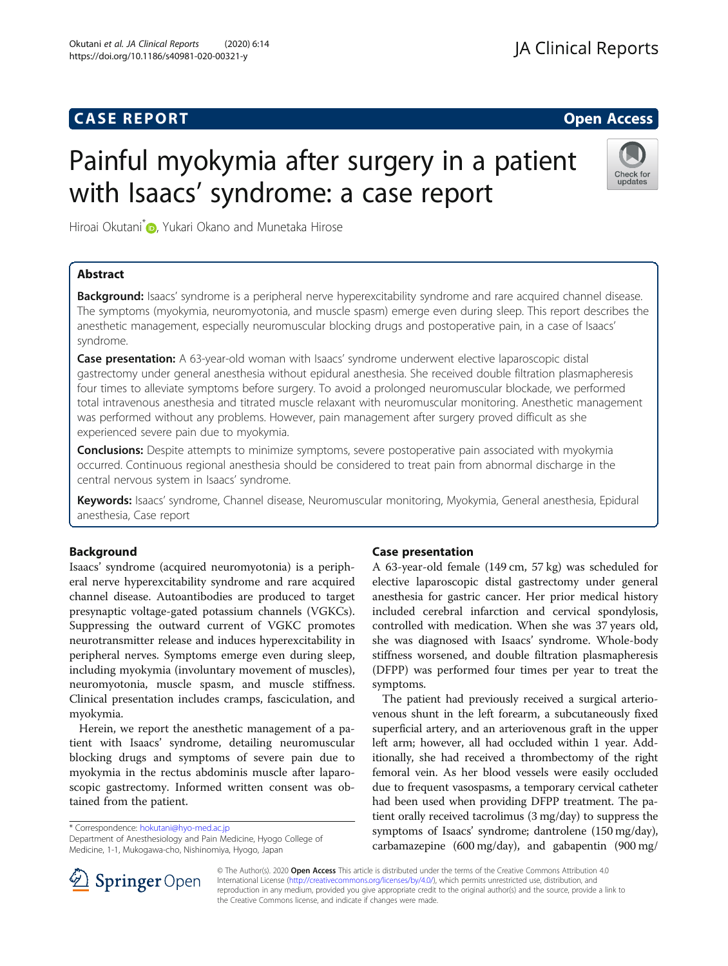## **CASE REPORT And SERVICE SERVICE SERVICE SERVICE SERVICE SERVICE SERVICE SERVICE SERVICE SERVICE SERVICE SERVICE**

# Painful myokymia after surgery in a patient with Isaacs' syndrome: a case report



Hiroai Okutani<sup>[\\*](http://orcid.org/0000-0002-7134-9942)</sup> , Yukari Okano and Munetaka Hirose

### Abstract

Background: Isaacs' syndrome is a peripheral nerve hyperexcitability syndrome and rare acquired channel disease. The symptoms (myokymia, neuromyotonia, and muscle spasm) emerge even during sleep. This report describes the anesthetic management, especially neuromuscular blocking drugs and postoperative pain, in a case of Isaacs' syndrome.

Case presentation: A 63-year-old woman with Isaacs' syndrome underwent elective laparoscopic distal gastrectomy under general anesthesia without epidural anesthesia. She received double filtration plasmapheresis four times to alleviate symptoms before surgery. To avoid a prolonged neuromuscular blockade, we performed total intravenous anesthesia and titrated muscle relaxant with neuromuscular monitoring. Anesthetic management was performed without any problems. However, pain management after surgery proved difficult as she experienced severe pain due to myokymia.

**Conclusions:** Despite attempts to minimize symptoms, severe postoperative pain associated with myokymia occurred. Continuous regional anesthesia should be considered to treat pain from abnormal discharge in the central nervous system in Isaacs' syndrome.

Keywords: Isaacs' syndrome, Channel disease, Neuromuscular monitoring, Myokymia, General anesthesia, Epidural anesthesia, Case report

#### Background

Isaacs' syndrome (acquired neuromyotonia) is a peripheral nerve hyperexcitability syndrome and rare acquired channel disease. Autoantibodies are produced to target presynaptic voltage-gated potassium channels (VGKCs). Suppressing the outward current of VGKC promotes neurotransmitter release and induces hyperexcitability in peripheral nerves. Symptoms emerge even during sleep, including myokymia (involuntary movement of muscles), neuromyotonia, muscle spasm, and muscle stiffness. Clinical presentation includes cramps, fasciculation, and myokymia.

Herein, we report the anesthetic management of a patient with Isaacs' syndrome, detailing neuromuscular blocking drugs and symptoms of severe pain due to myokymia in the rectus abdominis muscle after laparoscopic gastrectomy. Informed written consent was obtained from the patient.

\* Correspondence: [hokutani@hyo-med.ac.jp](mailto:hokutani@hyo-med.ac.jp)

Department of Anesthesiology and Pain Medicine, Hyogo College of Medicine, 1-1, Mukogawa-cho, Nishinomiya, Hyogo, Japan

#### Case presentation

A 63-year-old female (149 cm, 57 kg) was scheduled for elective laparoscopic distal gastrectomy under general anesthesia for gastric cancer. Her prior medical history included cerebral infarction and cervical spondylosis, controlled with medication. When she was 37 years old, she was diagnosed with Isaacs' syndrome. Whole-body stiffness worsened, and double filtration plasmapheresis (DFPP) was performed four times per year to treat the symptoms.

The patient had previously received a surgical arteriovenous shunt in the left forearm, a subcutaneously fixed superficial artery, and an arteriovenous graft in the upper left arm; however, all had occluded within 1 year. Additionally, she had received a thrombectomy of the right femoral vein. As her blood vessels were easily occluded due to frequent vasospasms, a temporary cervical catheter had been used when providing DFPP treatment. The patient orally received tacrolimus (3 mg/day) to suppress the symptoms of Isaacs' syndrome; dantrolene (150 mg/day), carbamazepine (600 mg/day), and gabapentin (900 mg/



© The Author(s). 2020 Open Access This article is distributed under the terms of the Creative Commons Attribution 4.0 International License ([http://creativecommons.org/licenses/by/4.0/\)](http://creativecommons.org/licenses/by/4.0/), which permits unrestricted use, distribution, and reproduction in any medium, provided you give appropriate credit to the original author(s) and the source, provide a link to the Creative Commons license, and indicate if changes were made.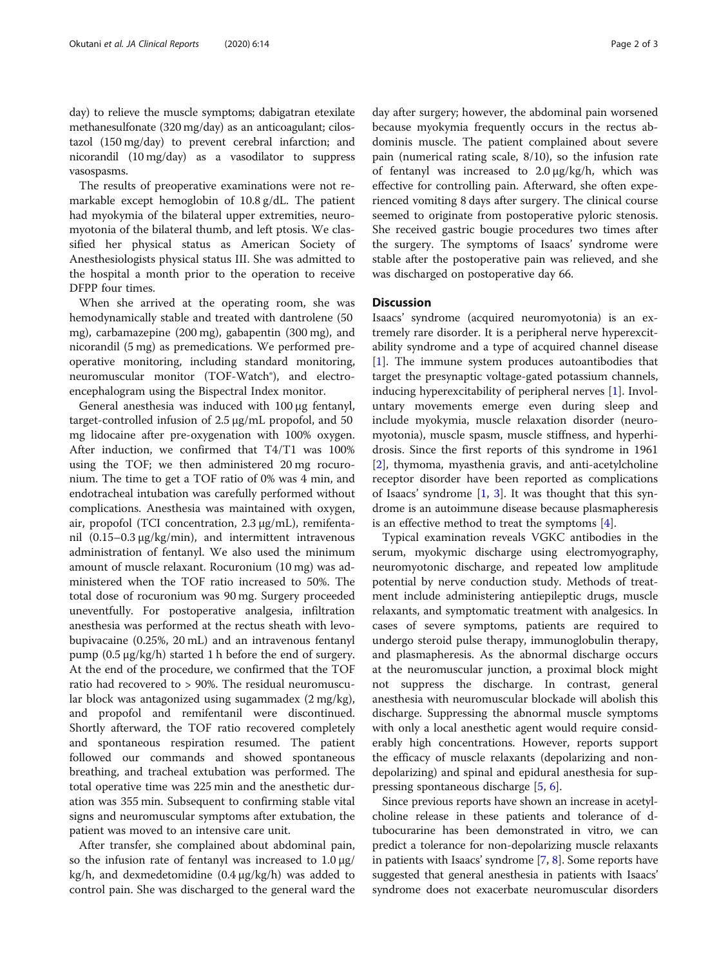day) to relieve the muscle symptoms; dabigatran etexilate methanesulfonate (320 mg/day) as an anticoagulant; cilostazol (150 mg/day) to prevent cerebral infarction; and nicorandil (10 mg/day) as a vasodilator to suppress vasospasms.

The results of preoperative examinations were not remarkable except hemoglobin of 10.8 g/dL. The patient had myokymia of the bilateral upper extremities, neuromyotonia of the bilateral thumb, and left ptosis. We classified her physical status as American Society of Anesthesiologists physical status III. She was admitted to the hospital a month prior to the operation to receive DFPP four times.

When she arrived at the operating room, she was hemodynamically stable and treated with dantrolene (50 mg), carbamazepine (200 mg), gabapentin (300 mg), and nicorandil (5 mg) as premedications. We performed preoperative monitoring, including standard monitoring, neuromuscular monitor (TOF-Watch®), and electroencephalogram using the Bispectral Index monitor.

General anesthesia was induced with 100 μg fentanyl, target-controlled infusion of 2.5 μg/mL propofol, and 50 mg lidocaine after pre-oxygenation with 100% oxygen. After induction, we confirmed that T4/T1 was 100% using the TOF; we then administered 20 mg rocuronium. The time to get a TOF ratio of 0% was 4 min, and endotracheal intubation was carefully performed without complications. Anesthesia was maintained with oxygen, air, propofol (TCI concentration, 2.3 μg/mL), remifentanil (0.15–0.3 μg/kg/min), and intermittent intravenous administration of fentanyl. We also used the minimum amount of muscle relaxant. Rocuronium (10 mg) was administered when the TOF ratio increased to 50%. The total dose of rocuronium was 90 mg. Surgery proceeded uneventfully. For postoperative analgesia, infiltration anesthesia was performed at the rectus sheath with levobupivacaine (0.25%, 20 mL) and an intravenous fentanyl pump (0.5 μg/kg/h) started 1 h before the end of surgery. At the end of the procedure, we confirmed that the TOF ratio had recovered to > 90%. The residual neuromuscular block was antagonized using sugammadex (2 mg/kg), and propofol and remifentanil were discontinued. Shortly afterward, the TOF ratio recovered completely and spontaneous respiration resumed. The patient followed our commands and showed spontaneous breathing, and tracheal extubation was performed. The total operative time was 225 min and the anesthetic duration was 355 min. Subsequent to confirming stable vital signs and neuromuscular symptoms after extubation, the patient was moved to an intensive care unit.

After transfer, she complained about abdominal pain, so the infusion rate of fentanyl was increased to  $1.0 \mu g$ / kg/h, and dexmedetomidine (0.4 μg/kg/h) was added to control pain. She was discharged to the general ward the

day after surgery; however, the abdominal pain worsened because myokymia frequently occurs in the rectus abdominis muscle. The patient complained about severe pain (numerical rating scale, 8/10), so the infusion rate of fentanyl was increased to 2.0 μg/kg/h, which was effective for controlling pain. Afterward, she often experienced vomiting 8 days after surgery. The clinical course seemed to originate from postoperative pyloric stenosis. She received gastric bougie procedures two times after the surgery. The symptoms of Isaacs' syndrome were stable after the postoperative pain was relieved, and she was discharged on postoperative day 66.

#### **Discussion**

Isaacs' syndrome (acquired neuromyotonia) is an extremely rare disorder. It is a peripheral nerve hyperexcitability syndrome and a type of acquired channel disease [[1\]](#page-2-0). The immune system produces autoantibodies that target the presynaptic voltage-gated potassium channels, inducing hyperexcitability of peripheral nerves [[1\]](#page-2-0). Involuntary movements emerge even during sleep and include myokymia, muscle relaxation disorder (neuromyotonia), muscle spasm, muscle stiffness, and hyperhidrosis. Since the first reports of this syndrome in 1961 [[2\]](#page-2-0), thymoma, myasthenia gravis, and anti-acetylcholine receptor disorder have been reported as complications of Isaacs' syndrome  $[1, 3]$  $[1, 3]$  $[1, 3]$  $[1, 3]$ . It was thought that this syndrome is an autoimmune disease because plasmapheresis is an effective method to treat the symptoms  $[4]$  $[4]$ .

Typical examination reveals VGKC antibodies in the serum, myokymic discharge using electromyography, neuromyotonic discharge, and repeated low amplitude potential by nerve conduction study. Methods of treatment include administering antiepileptic drugs, muscle relaxants, and symptomatic treatment with analgesics. In cases of severe symptoms, patients are required to undergo steroid pulse therapy, immunoglobulin therapy, and plasmapheresis. As the abnormal discharge occurs at the neuromuscular junction, a proximal block might not suppress the discharge. In contrast, general anesthesia with neuromuscular blockade will abolish this discharge. Suppressing the abnormal muscle symptoms with only a local anesthetic agent would require considerably high concentrations. However, reports support the efficacy of muscle relaxants (depolarizing and nondepolarizing) and spinal and epidural anesthesia for suppressing spontaneous discharge [[5,](#page-2-0) [6\]](#page-2-0).

Since previous reports have shown an increase in acetylcholine release in these patients and tolerance of dtubocurarine has been demonstrated in vitro, we can predict a tolerance for non-depolarizing muscle relaxants in patients with Isaacs' syndrome [\[7](#page-2-0), [8\]](#page-2-0). Some reports have suggested that general anesthesia in patients with Isaacs' syndrome does not exacerbate neuromuscular disorders